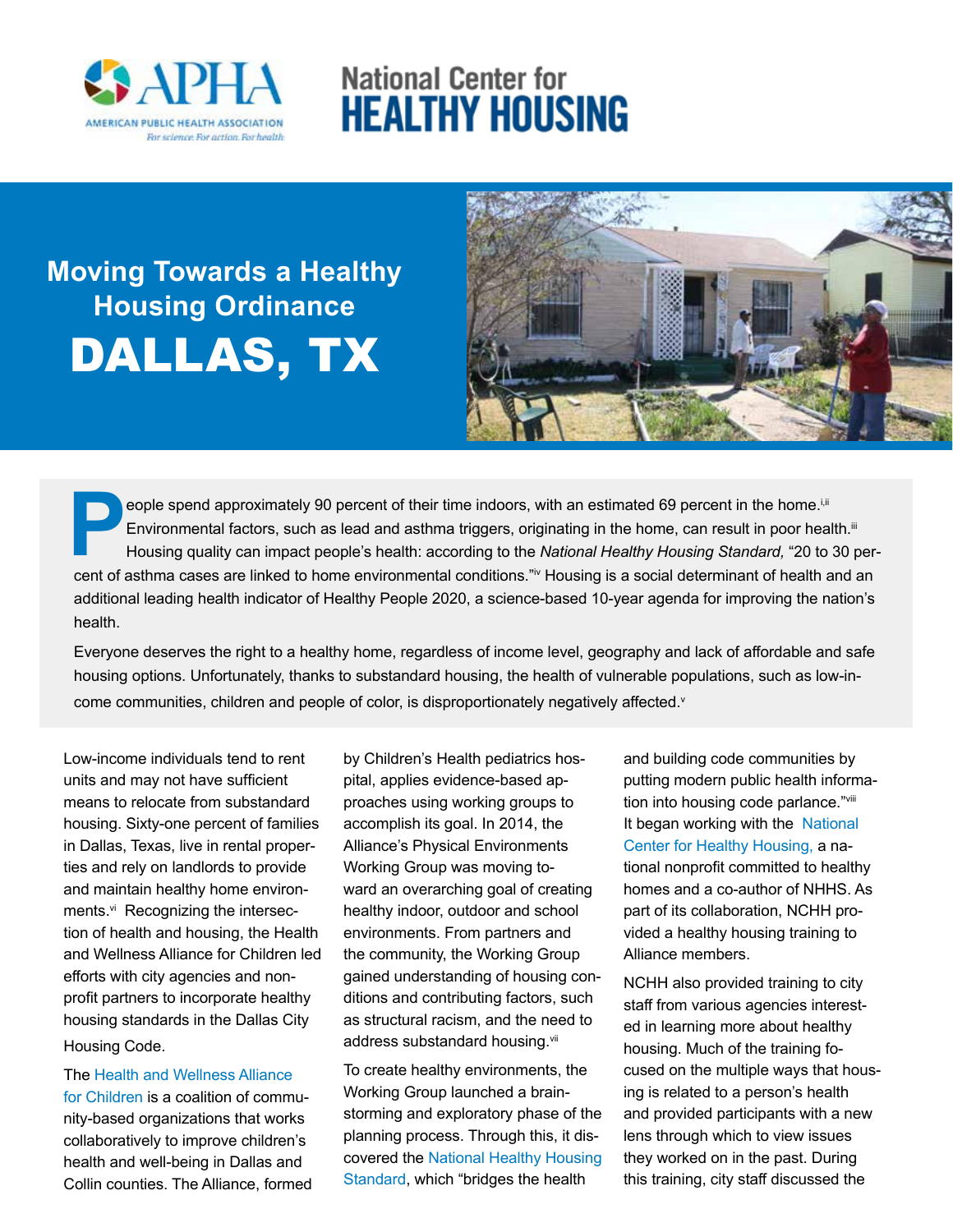

## **National Center for Healthy Housing**

# **Moving Towards a Healthy Housing Ordinance** DALLAS, TX



eople spend approximately 90 percent of their time indoors, with an estimated 69 percent in the home.<sup>i,ii</sup> Environmental factors, such as lead and asthma triggers, originating in the home, can result in poor health.<sup>iii</sup> Housing quality can impact people's health: according to the *National Healthy Housing Standard,* "20 to 30 percent of asthma cases are linked to home environmental conditions."iv Housing is a social determinant of health and an additional leading health indicator of Healthy People 2020, a science-based 10-year agenda for improving the nation's health.

Everyone deserves the right to a healthy home, regardless of income level, geography and lack of affordable and safe housing options. Unfortunately, thanks to substandard housing, the health of vulnerable populations, such as low-income communities, children and people of color, is disproportionately negatively affected.<sup>v</sup>

Low-income individuals tend to rent units and may not have sufficient means to relocate from substandard housing. Sixty-one percent of families in Dallas, Texas, live in rental properties and rely on landlords to provide and maintain healthy home environments.<sup>vi</sup> Recognizing the intersection of health and housing, the Health and Wellness Alliance for Children led efforts with city agencies and nonprofit partners to incorporate healthy housing standards in the Dallas City Housing Code.

The [Health and Wellness Alliance](http://www.healthandwellnessalliance.com/)  [for Children](http://www.healthandwellnessalliance.com/) is a coalition of community-based organizations that works collaboratively to improve children's health and well-being in Dallas and Collin counties. The Alliance, formed by Children's Health pediatrics hospital, applies evidence-based approaches using working groups to accomplish its goal. In 2014, the Alliance's Physical Environments Working Group was moving toward an overarching goal of creating healthy indoor, outdoor and school environments. From partners and the community, the Working Group gained understanding of housing conditions and contributing factors, such as structural racism, and the need to address substandard housing.vii

To create healthy environments, the Working Group launched a brainstorming and exploratory phase of the planning process. Through this, it discovered the [National Healthy Housing](http://www.nchh.org/Policy/NationalHealthyHousingStandard.aspx)  [Standard,](http://www.nchh.org/Policy/NationalHealthyHousingStandard.aspx) which "bridges the health

and building code communities by putting modern public health information into housing code parlance."viii It began working with the [National](http://www.nchh.org/Home.aspx)  [Center for Healthy Housing, a](http://www.nchh.org/Home.aspx) national nonprofit committed to healthy homes and a co-author of NHHS. As part of its collaboration, NCHH provided a healthy housing training to Alliance members.

NCHH also provided training to city staff from various agencies interested in learning more about healthy housing. Much of the training focused on the multiple ways that housing is related to a person's health and provided participants with a new lens through which to view issues they worked on in the past. During this training, city staff discussed the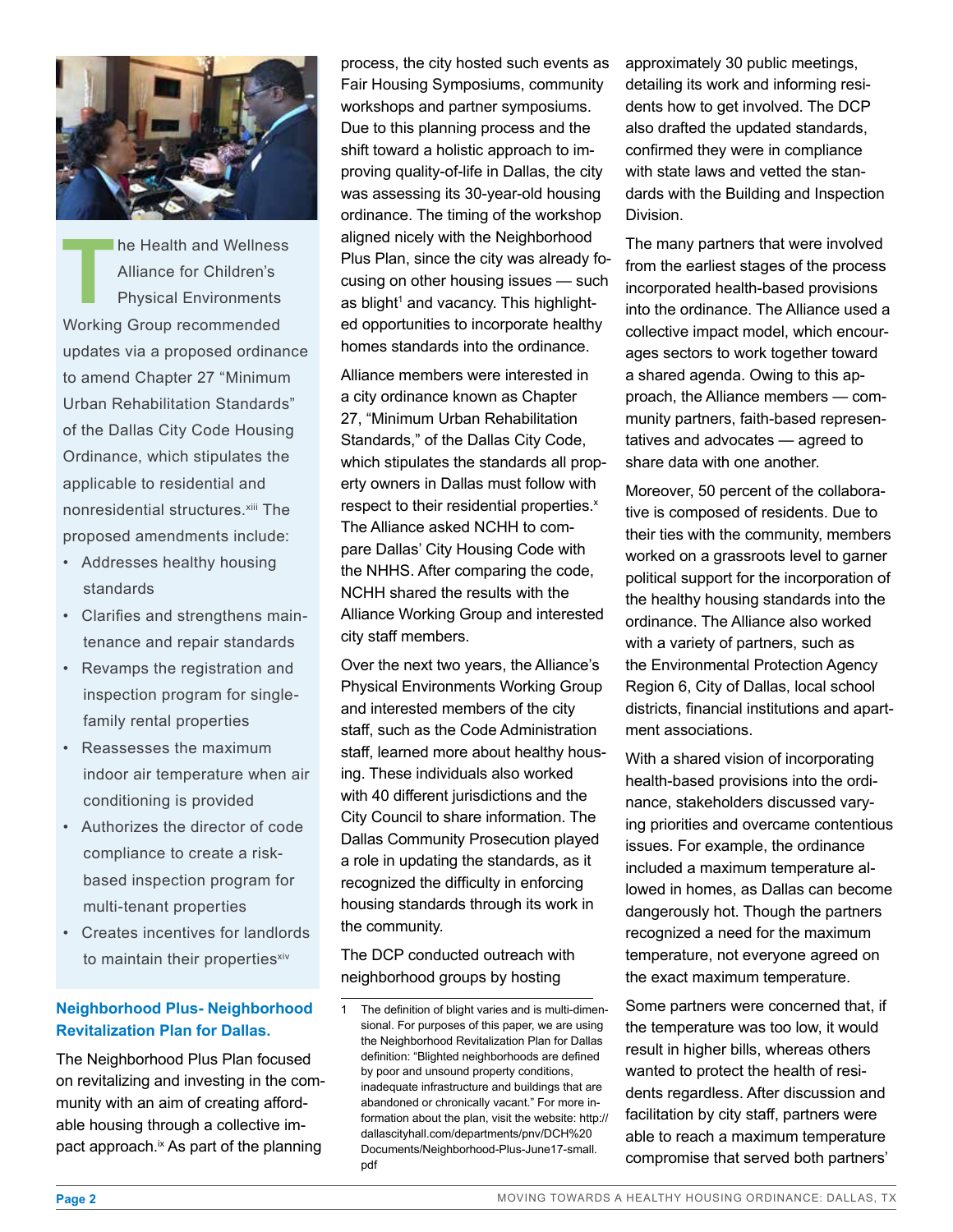

**The Health and Wellness<br>Alliance for Children's<br>Physical Environments** Alliance for Children's Physical Environments Working Group recommended updates via a proposed ordinance to amend Chapter 27 "Minimum Urban Rehabilitation Standards" of the Dallas City Code Housing Ordinance, which stipulates the applicable to residential and nonresidential structures.<sup>xiii</sup> The proposed amendments include:

- Addresses healthy housing standards
- Clarifies and strengthens maintenance and repair standards
- Revamps the registration and inspection program for singlefamily rental properties
- Reassesses the maximum indoor air temperature when air conditioning is provided
- Authorizes the director of code compliance to create a riskbased inspection program for multi-tenant properties
- Creates incentives for landlords to maintain their propertiesxiv

#### **[Neighborhood Plus- Neighborhood](http://dallascityhall.com/departments/pnv/DCH Documents/Neighborhood-Plus-June17-small.pdf)  [Revitalization Plan for Dallas.](http://dallascityhall.com/departments/pnv/DCH Documents/Neighborhood-Plus-June17-small.pdf)**

The Neighborhood Plus Plan focused on revitalizing and investing in the community with an aim of creating affordable housing through a collective impact approach.<sup>ix</sup> As part of the planning

process, the city hosted such events as Fair Housing Symposiums, community workshops and partner symposiums. Due to this planning process and the shift toward a holistic approach to improving quality-of-life in Dallas, the city was assessing its 30-year-old housing ordinance. The timing of the workshop aligned nicely with the Neighborhood Plus Plan, since the city was already focusing on other housing issues — such as blight<sup>1</sup> and vacancy. This highlighted opportunities to incorporate healthy homes standards into the ordinance.

Alliance members were interested in a city ordinance known as Chapter 27, "Minimum Urban Rehabilitation Standards," of the Dallas City Code, which stipulates the standards all property owners in Dallas must follow with respect to their residential properties.<sup>x</sup> The Alliance asked NCHH to compare Dallas' City Housing Code with the NHHS. After comparing the code, NCHH shared the results with the Alliance Working Group and interested city staff members.

Over the next two years, the Alliance's Physical Environments Working Group and interested members of the city staff, such as the Code Administration staff, learned more about healthy housing. These individuals also worked with 40 different jurisdictions and the City Council to share information. The Dallas Community Prosecution played a role in updating the standards, as it recognized the difficulty in enforcing housing standards through its work in the community.

The DCP conducted outreach with neighborhood groups by hosting

approximately 30 public meetings, detailing its work and informing residents how to get involved. The DCP also drafted the updated standards, confirmed they were in compliance with state laws and vetted the standards with the Building and Inspection Division.

The many partners that were involved from the earliest stages of the process incorporated health-based provisions into the ordinance. The Alliance used a collective impact model, which encourages sectors to work together toward a shared agenda. Owing to this approach, the Alliance members — community partners, faith-based representatives and advocates — agreed to share data with one another.

Moreover, 50 percent of the collaborative is composed of residents. Due to their ties with the community, members worked on a grassroots level to garner political support for the incorporation of the healthy housing standards into the ordinance. The Alliance also worked with a variety of partners, such as the Environmental Protection Agency Region 6, City of Dallas, local school districts, financial institutions and apartment associations.

With a shared vision of incorporating health-based provisions into the ordinance, stakeholders discussed varying priorities and overcame contentious issues. For example, the ordinance included a maximum temperature allowed in homes, as Dallas can become dangerously hot. Though the partners recognized a need for the maximum temperature, not everyone agreed on the exact maximum temperature.

Some partners were concerned that, if the temperature was too low, it would result in higher bills, whereas others wanted to protect the health of residents regardless. After discussion and facilitation by city staff, partners were able to reach a maximum temperature compromise that served both partners'

The definition of blight varies and is multi-dimensional. For purposes of this paper, we are using the Neighborhood Revitalization Plan for Dallas definition: "Blighted neighborhoods are defined by poor and unsound property conditions, inadequate infrastructure and buildings that are abandoned or chronically vacant." For more information about the plan, visit the website: http:// dallascityhall.com/departments/pnv/DCH%20 Documents/Neighborhood-Plus-June17-small. pdf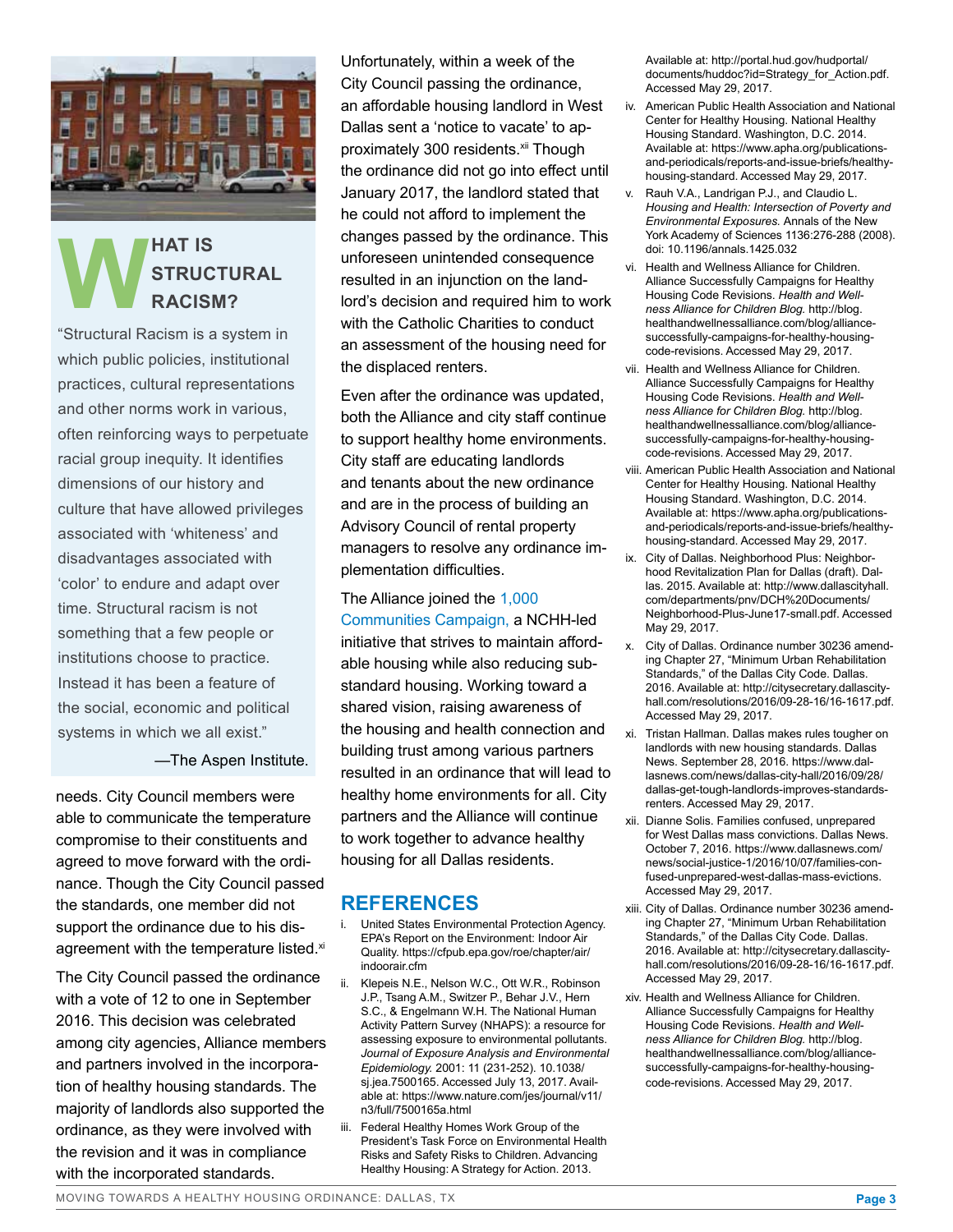

## **WHAT IS<br>STRUC**<br>RACISM **STRUCTURAL RACISM?**

"Structural Racism is a system in which public policies, institutional practices, cultural representations and other norms work in various, often reinforcing ways to perpetuate racial group inequity. It identifies dimensions of our history and culture that have allowed privileges associated with 'whiteness' and disadvantages associated with 'color' to endure and adapt over time. Structural racism is not something that a few people or institutions choose to practice. Instead it has been a feature of the social, economic and political systems in which we all exist."

—The Aspen Institute.

needs. City Council members were able to communicate the temperature compromise to their constituents and agreed to move forward with the ordinance. Though the City Council passed the standards, one member did not support the ordinance due to his disagreement with the temperature listed.xi

The City Council passed the ordinance with a vote of 12 to one in September 2016. This decision was celebrated among city agencies, Alliance members and partners involved in the incorporation of healthy housing standards. The majority of landlords also supported the ordinance, as they were involved with the revision and it was in compliance with the incorporated standards.

Unfortunately, within a week of the City Council passing the ordinance, an affordable housing landlord in West Dallas sent a 'notice to vacate' to approximately 300 residents.xii Though the ordinance did not go into effect until January 2017, the landlord stated that he could not afford to implement the changes passed by the ordinance. This unforeseen unintended consequence resulted in an injunction on the landlord's decision and required him to work with the Catholic Charities to conduct an assessment of the housing need for the displaced renters.

Even after the ordinance was updated, both the Alliance and city staff continue to support healthy home environments. City staff are educating landlords and tenants about the new ordinance and are in the process of building an Advisory Council of rental property managers to resolve any ordinance implementation difficulties.

The Alliance joined the [1,000](http://www.nchh.org/Policy/1000Communities.aspx)  [Communities Campaign,](http://www.nchh.org/Policy/1000Communities.aspx) a NCHH-led initiative that strives to maintain affordable housing while also reducing substandard housing. Working toward a shared vision, raising awareness of the housing and health connection and building trust among various partners resulted in an ordinance that will lead to healthy home environments for all. City partners and the Alliance will continue to work together to advance healthy housing for all Dallas residents.

### **REFERENCES**

- i. United States Environmental Protection Agency. EPA's Report on the Environment: Indoor Air Quality. https://cfpub.epa.gov/roe/chapter/air/ indoorair.cfm
- ii. Klepeis N.E., Nelson W.C., Ott W.R., Robinson J.P., Tsang A.M., Switzer P., Behar J.V., Hern S.C., & Engelmann W.H. The National Human Activity Pattern Survey (NHAPS): a resource for assessing exposure to environmental pollutants. *Journal of Exposure Analysis and Environmental Epidemiology.* 2001: 11 (231-252). 10.1038/ sj.jea.7500165. Accessed July 13, 2017. Available at: https://www.nature.com/jes/journal/v11/ n3/full/7500165a.html
- iii. Federal Healthy Homes Work Group of the President's Task Force on Environmental Health Risks and Safety Risks to Children. Advancing Healthy Housing: A Strategy for Action. 2013.

Available at: http://portal.hud.gov/hudportal/ documents/huddoc?id=Strategy\_for\_Action.pdf. Accessed May 29, 2017.

- iv. American Public Health Association and National Center for Healthy Housing. National Healthy Housing Standard. Washington, D.C. 2014. Available at: https://www.apha.org/publicationsand-periodicals/reports-and-issue-briefs/healthyhousing-standard. Accessed May 29, 2017.
- v. Rauh V.A., Landrigan P.J., and Claudio L. *Housing and Health: Intersection of Poverty and Environmental Exposures.* Annals of the New York Academy of Sciences 1136:276-288 (2008). doi: 10.1196/annals.1425.032
- vi. Health and Wellness Alliance for Children. Alliance Successfully Campaigns for Healthy Housing Code Revisions. *Health and Wellness Alliance for Children Blog.* http://blog. healthandwellnessalliance.com/blog/alliancesuccessfully-campaigns-for-healthy-housingcode-revisions. Accessed May 29, 2017.
- vii. Health and Wellness Alliance for Children. Alliance Successfully Campaigns for Healthy Housing Code Revisions. *Health and Wellness Alliance for Children Blog.* http://blog. healthandwellnessalliance.com/blog/alliancesuccessfully-campaigns-for-healthy-housingcode-revisions. Accessed May 29, 2017.
- viii. American Public Health Association and National Center for Healthy Housing. National Healthy Housing Standard. Washington, D.C. 2014. Available at: https://www.apha.org/publicationsand-periodicals/reports-and-issue-briefs/healthyhousing-standard. Accessed May 29, 2017.
- ix. City of Dallas. Neighborhood Plus: Neighborhood Revitalization Plan for Dallas (draft). Dallas. 2015. Available at: http://www.dallascityhall. com/departments/pnv/DCH%20Documents/ Neighborhood-Plus-June17-small.pdf. Accessed May 29, 2017.
- x. City of Dallas. Ordinance number 30236 amending Chapter 27, "Minimum Urban Rehabilitation Standards," of the Dallas City Code. Dallas. 2016. Available at: http://citysecretary.dallascityhall.com/resolutions/2016/09-28-16/16-1617.pdf. Accessed May 29, 2017.
- xi. Tristan Hallman. Dallas makes rules tougher on landlords with new housing standards. Dallas News. September 28, 2016. https://www.dallasnews.com/news/dallas-city-hall/2016/09/28/ dallas-get-tough-landlords-improves-standardsrenters. Accessed May 29, 2017.
- xii. Dianne Solis. Families confused, unprepared for West Dallas mass convictions. Dallas News. October 7, 2016. https://www.dallasnews.com/ news/social-justice-1/2016/10/07/families-confused-unprepared-west-dallas-mass-evictions. Accessed May 29, 2017.
- xiii. City of Dallas. Ordinance number 30236 amending Chapter 27, "Minimum Urban Rehabilitation Standards," of the Dallas City Code. Dallas. 2016. Available at: http://citysecretary.dallascityhall.com/resolutions/2016/09-28-16/16-1617.pdf. Accessed May 29, 2017.
- xiv. Health and Wellness Alliance for Children. Alliance Successfully Campaigns for Healthy Housing Code Revisions. *Health and Wellness Alliance for Children Blog.* http://blog. healthandwellnessalliance.com/blog/alliancesuccessfully-campaigns-for-healthy-housingcode-revisions. Accessed May 29, 2017.